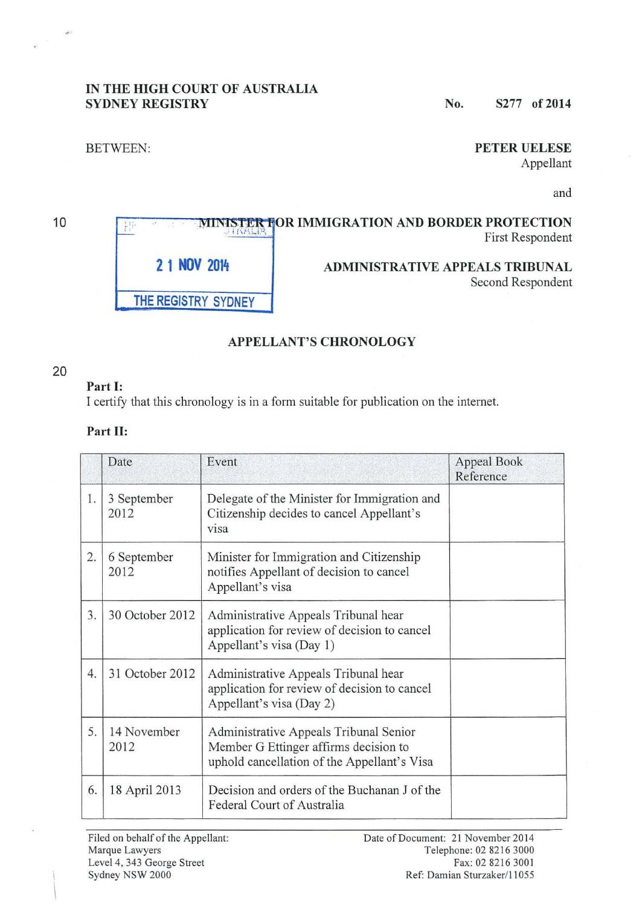## **IN THE HIGH COURT OF AUSTRALIA SYDNEY REGISTRY** No. S277 of 2014

 $\frac{1}{2}$ 

## BETWEEN: **PETER UELESE**

Appellant

and

### 10 **MINISTER FOR IMMIGRATION AND BORDER PROTECTION** 排 **First Respondent 2 1 NOV 2014 ADMINISTRATIVE APPEALS TRIBUNAL**  Second Respondent **THE REGISTRY SYDNEY**

# **APPELLANT'S CHRONOLOGY**

## 20

## **Part 1:**

I certify that this chronology is in a form suitable for publication on the internet.

## **Part II:**

|    | Date                | Event                                                                                                                          | Appeal Book<br>Reference |
|----|---------------------|--------------------------------------------------------------------------------------------------------------------------------|--------------------------|
| 1. | 3 September<br>2012 | Delegate of the Minister for Immigration and<br>Citizenship decides to cancel Appellant's<br>visa                              |                          |
| 2. | 6 September<br>2012 | Minister for Immigration and Citizenship<br>notifies Appellant of decision to cancel<br>Appellant's visa                       |                          |
| 3. | 30 October 2012     | Administrative Appeals Tribunal hear<br>application for review of decision to cancel<br>Appellant's visa (Day 1)               |                          |
| 4. | 31 October 2012     | Administrative Appeals Tribunal hear<br>application for review of decision to cancel<br>Appellant's visa (Day 2)               |                          |
| 5. | 14 November<br>2012 | Administrative Appeals Tribunal Senior<br>Member G Ettinger affirms decision to<br>uphold cancellation of the Appellant's Visa |                          |
| 6. | 18 April 2013       | Decision and orders of the Buchanan J of the<br>Federal Court of Australia                                                     |                          |